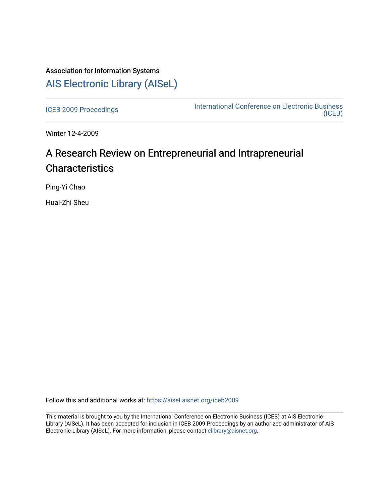## Association for Information Systems [AIS Electronic Library \(AISeL\)](https://aisel.aisnet.org/)

[ICEB 2009 Proceedings](https://aisel.aisnet.org/iceb2009) **International Conference on Electronic Business** [\(ICEB\)](https://aisel.aisnet.org/iceb) 

Winter 12-4-2009

# A Research Review on Entrepreneurial and Intrapreneurial **Characteristics**

Ping-Yi Chao

Huai-Zhi Sheu

Follow this and additional works at: [https://aisel.aisnet.org/iceb2009](https://aisel.aisnet.org/iceb2009?utm_source=aisel.aisnet.org%2Ficeb2009%2F32&utm_medium=PDF&utm_campaign=PDFCoverPages)

This material is brought to you by the International Conference on Electronic Business (ICEB) at AIS Electronic Library (AISeL). It has been accepted for inclusion in ICEB 2009 Proceedings by an authorized administrator of AIS Electronic Library (AISeL). For more information, please contact [elibrary@aisnet.org.](mailto:elibrary@aisnet.org%3E)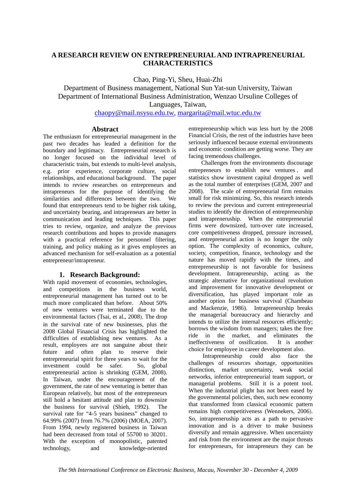## **A RESEARCH REVIEW ON ENTREPRENEURIAL AND INTRAPRENEURIAL CHARACTERISTICS**

Chao, Ping-Yi, Sheu, Huai-Zhi

Department of Business management, National Sun Yat-sun University, Taiwan Department of International Business Administration, Wenzao Ursuline Colleges of Languages, Taiwan,

chaopy@mail.nsysu.edu.tw, margarita@mail.wtuc.edu.tw

#### **Abstract**

The enthusiasm for entrepreneurial management in the past two decades has leaded a definition for the boundary and legitimacy. Entrepreneurial research is no longer focused on the individual level of characteristic traits, but extends to multi-level analysis, e.g. prior experience, corporate culture, social relationships, and educational background. The paper intends to review researches on entrepreneurs and intrapreneurs for the purpose of identifying the similarities and differences between the two. We found that entrepreneurs tend to be higher risk taking, and uncertainty bearing, and intrapreneurs are better in communication and leading techniques. This paper tries to review, organize, and analyze the previous research contributions and hopes to provide managers with a practical reference for personnel filtering, training, and policy making as it gives employees an advanced mechanism for self-evaluation as a potential entrepreneur/intrapreneur.

#### **1. Research Background:**

With rapid movement of economies, technologies, and competitions in the business world, entrepreneurial management has turned out to be much more complicated than before. About 50% of new ventures were terminated due to the environmental factors (Tsai, et al., 2008). The drop in the survival rate of new businesses, plus the 2008 Global Financial Crisis has highlighted the difficulties of establishing new ventures. As a result, employees are not sanguine about their future and often plan to reserve their entrepreneurial spirit for three years to wait for the investment could be safer. So, global entrepreneurial action is shrinking (GEM, 2008). In Taiwan, under the encouragement of the government, the rate of new venturing is better than European relatively, but most of the entrepreneurs still hold a hesitant attitude and plan to downsize the business for survival (Shieh, 1992). The survival rate for "4-5 years business" changed to 64.99% (2007) from 76.7% (2006) (MOEA, 2007). From 1994, newly registered business in Taiwan had been decreased from total of 55700 to 30201. With the exception of monopolistic, patented technology, and knowledge-oriented

entrepreneurship which was less hurt by the 2008 Financial Crisis, the rest of the industries have been seriously influenced because external environments and economic condition are getting worse. They are facing tremendous challenges.

Challenges from the environments discourage entrepreneurs to establish new ventures , and statistics show investment capital dropped as well as the total number of enterprises (GEM, 2007 and 2008). The scale of entrepreneurial firm remains small for risk minimizing. So, this research intends to review the previous and current entrepreneurial studies to identify the direction of entrepreneurship and intrapreneruship. When the entrepreneurial firms were downsized, turn-over rate increased, core competitiveness dropped, pressure increased, and entrepreneurial action is no longer the only option. The complexity of economics, culture, society, competition, finance, technology and the nature has moved rapidly with the times, and entrepreneurship is not favorable for business development. Intrapreneurship, acting as the strategic alternative for organizational revolution and improvement for innovative development or diversification, has played important role as another option for business survival (Chambeau and Mackenzie, 1986). Intrapreneurship breaks the managerial bureaucracy and hierarchy and intends to utilize the internal resources efficiently; borrows the wisdom from managers; takes the free ride in the market, and eliminates the ineffectiveness of ossification. It is another choice for employee in career development also.

Intrapreneurship could also face the challenges of resources shortage, opportunities distinction, market uncertainty, weak social networks, inferior entrepreneurial team support, or managerial problems. Still it is a potent tool. When the industrial plight has not been eased by the governmental policies, then, such new economy that transformed from classical economic pattern remains high competitiveness (Wennekers, 2006). So, intrapreneruship acts as a path to pervasive innovation and is a driver to make business diversify and remain aggressive. When uncertainty and risk from the environment are the major threats for entrepreneurs, for intrapreneurs they can be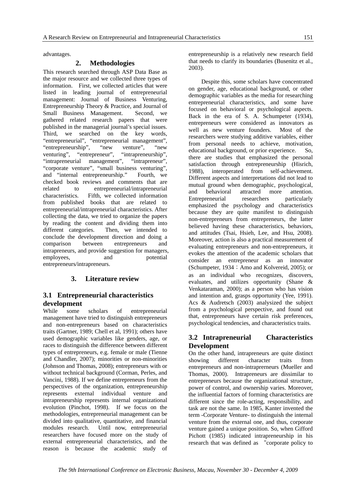advantages.

#### **2. Methodologies**

This research searched through ASP Data Base as the major resource and we collected three types of information. First, we collected articles that were listed in leading journal of entrepreneurial management: Journal of Business Venturing, Entrepreneurship Theory & Practice, and Journal of Small Business Management. Second, we gathered related research papers that were published in the managerial journal's special issues. Third, we searched on the key words, "entrepreneurial", "entrepreneurial management", "entrepreneurship", "new venture", "new venturing", "entrepreneur", "intrapreneurship",<br>"intrapreneurial management", "intrapreneur", "intrapreneurial management", "intrapreneur", "corporate venture", "small business venturing", and "internal entrepreneurship." Fourth, we and "internal entrepreneurship." checked book reviews and comments that are related to entrepreneurial/intrapreneurial characteristics. Fifth, we collected information from published books that are related to entrepreneurial/intrapreneurial characteristics. After collecting the data, we tried to organize the papers by reading the content and dividing them into different categories. Then, we intended to conclude the development direction and doing a comparison between entrepreneurs and intrapreneurs, and provide suggestion for managers, employees, and potential entrepreneurs/intrapreneurs.

## **3. Literature review**

#### **3.1 Entrepreneurial characteristics development**

While some scholars of entrepreneurial management have tried to distinguish entrepreneurs and non-entrepreneurs based on characteristics traits (Gartner, 1989; Chell et al, 1991); others have used demographic variables like genders, age, or races to distinguish the difference between different types of entrepreneurs, e.g. female or male (Tienne and Chandler, 2007); minorities or non-minorities (Johnson and Thomas, 2008); entrepreneurs with or without technical background (Corman, Perles, and Vancini, 1988). If we define entrepreneurs from the perspectives of the organization, entrepreneurship represents external individual venture and intrapreneurship represents internal organizational evolution (Pinchot, 1998). If we focus on the methodologies, entrepreneurial management can be divided into qualitative, quantitative, and financial modules research. Until now, entrepreneurial researchers have focused more on the study of external entrepreneurial characteristics, and the reason is because the academic study of

entrepreneurship is a relatively new research field that needs to clarify its boundaries (Busenitz et al., 2003).

Despite this, some scholars have concentrated on gender, age, educational background, or other demographic variables as the media for researching entrepreneurial characteristics, and some have focused on behavioral or psychological aspects. Back in the era of S. A. Schumpeter (1934), entrepreneurs were considered as innovators as well as new venture founders. Most of the researchers were studying additive variables, either from personal needs to achieve, motivation, educational background, or prior experience. So, there are studies that emphasized the personal satisfaction through entrepreneurship (Hisrich, 1988), interoperated from self-achievement. Different aspects and interpretations did not lead to mutual ground when demographic, psychological, and behavioral attracted more attention.<br>Entrepreneurial researchers particularly Entrepreneurial researchers emphasized the psychology and characteristics because they are quite manifest to distinguish non-entrepreneurs from entrepreneurs, the latter believed having these characteristics, behaviors, and attitudes (Tsai, Hsieh, Lee, and Hsu, 2008). Moreover, action is also a practical measurement of evaluating entrepreneurs and non-entrepreneurs, it evokes the attention of the academic scholars that consider an entrepreneur as an innovator (Schumpeter, 1934; Amo and Kolvereid, 2005); or as an individual who recognizes, discovers, evaluates, and utilizes opportunity (Shane & Venkataraman, 2000); as a person who has vision and intention and, grasps opportunity (Yee, 1991). Acs & Audretsch (2003) analysized the subject from a psychological perspective, and found out that, entrepreneurs have certain risk preferences, psychological tendencies, and characteristics traits.

## **3.2 Intrapreneurial Characteristics Development**

On the other hand, intrapreneurs are quite distinct showing different character traits from entrepreneurs and non-intraprerneurs (Mueller and Thomas, 2000). Intrapreneurs are dissimilar to entrepreneurs because the organizational structure, power of control, and ownership varies. Moreover, the influential factors of forming characteristics are different since the role-acting, responsibility, and task are not the same. In 1985, Kanter invented the term -Corporate Venture- to distinguish the internal venture from the external one, and thus, corporate venture gained a unique position. So, when Gifford Pichott (1985) indicated intrapreneurship in his research that was defined as "corporate policy to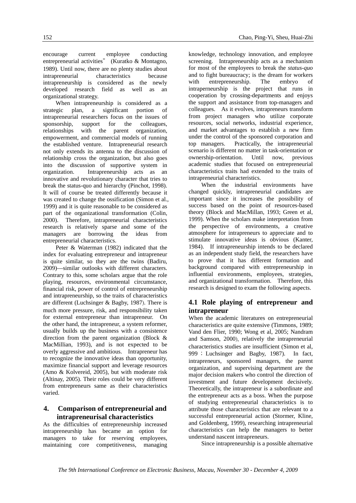encourage current employee conducting entrepreneurial activities" (Kuratko & Montagno, 1989). Until now, there are no plenty studies about intrapreneurial characteristics because intrapreneurship is considered as the newly developed research field as well as an organizational strategy.

When intrapreneurship is considered as a strategic plan, a significant portion of intrapreneurial researchers focus on the issues of sponsorship, support for the colleagues, relationships with the parent organization, empowerment, and commercial models of running the established venture. Intrapreneurial research not only extends its antenna to the discussion of relationship cross the organization, but also goes into the discussion of supportive system in organization. Intrapreneurship acts as an innovative and revolutionary character that tries to break the status-quo and hierarchy (Pinchot, 1998). It will of course be treated differently because it was created to change the ossification (Simon et al., 1999) and it is quite reasonable to be considered as part of the organizational transformation (Colin, 2000). Therefore, intrapreneurial characteristics research is relatively sparse and some of the managers are borrowing the ideas from entrepreneurial characteristics.

Peter & Waterman (1982) indicated that the index for evaluating entrepreneur and intrapreneur is quite similar, so they are the twins (Badiru, 2009)—similar outlooks with different characters. Contrary to this, some scholars argue that the role playing, resources, environmental circumstance, financial risk, power of control of entrepreneurship and intrapreneurship, so the traits of characteristics are different (Luchsinger & Bagby, 1987). There is much more pressure, risk, and responsibility taken for external entrepreneur than intrapreneur. On the other hand, the intrapreneur, a system reformer, usually builds up the business with a consistence direction from the parent organization (Block & MacMillian, 1993), and is not expected to be overly aggressive and ambitious. Intrapreneur has to recognize the innovative ideas than opportunity, maximize financial support and leverage resources (Amo & Kolvereid, 2005), but with moderate risk (Altinay, 2005). Their roles could be very different from entrepreneurs same as their characteristics varied.

#### **4. Comparison of entrepreneurial and intrapreneurisal characteristics**

As the difficulties of entrepreneurship increased intrapreneurship has became an option for managers to take for reserving employees, maintaining core competitiveness, managing knowledge, technology innovation, and employee screening. Intrapreneurship acts as a mechanism for most of the employees to break the *status-quo* and to fight bureaucracy; is the dream for workers with entrepreneurship. The embryo of intraperneurship is the project that runs in cooperation by crossing-departments and enjoys the support and assistance from top-managers and colleagues. As it evolves, intrapreneurs transform from project managers who utilize corporate resources, social networks, industrial experience, and market advantages to establish a new firm under the control of the sponsored corporation and top managers. Practically, the intrapreneurial scenario is different no matter in task-orientation or ownership-orientation. Until now, previous academic studies that focused on entrepreneurial characteristics traits had extended to the traits of intrapreneurial characteristics.

When the industrial environments have changed quickly, intrapreneurial candidates are important since it increases the possibility of success based on the point of resources-based theory (Block and MacMillan, 1993; Green et al, 1999). When the scholars make interpretation from the perspective of environments, a creative atmosphere for intrapreneurs to appreciate and to stimulate innovative ideas is obvious (Kanter, 1984). If intrapreneurship intends to be declared as an independent study field, the researchers have to prove that it has different formation and background compared with entrepreneurship in influential environments, employees, strategies, and organizational transformation. Therefore, this research is designed to exam the following aspects.

#### **4.1 Role playing of entrepreneur and intrapreneur**

When the academic literatures on entrepreneurial characteristics are quite extensive (Timmons, 1989; Vand den Flier, 1990; Wong et al, 2005; Nandram and Samson, 2000), relatively the intrapreneurial characteristics studies are insufficient (Simon et al, 999 ; Luchsinger and Bagby, 1987). In fact, intrapreneurs, sponsored managers, the parent organization, and supervising department are the major decision makers who control the direction of investment and future development decisively. Theoretically, the intrapreneur is a subordinate and the entrepreneur acts as a boss. When the purpose of studying entrepreneurial characteristics is to attribute those characteristics that are relevant to a successful entrepreneurial action (Stormer, Kline, and Goldenberg, 1999), researching intrapreneurial characteristics can help the managers to better understand nascent intrapreneurs.

Since intrapreneurship is a possible alternative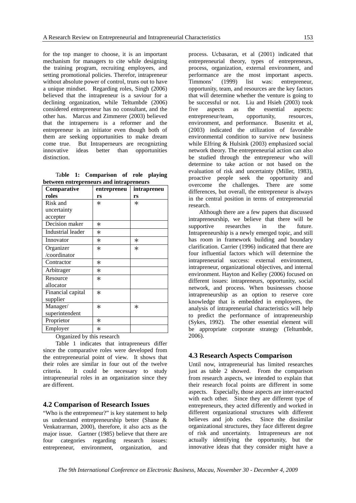for the top manger to choose, it is an important mechanism for managers to cite while designing the training program, recruiting employees, and setting promotional policies. Therefor, intrapreneur without absolute power of control, truns out to have a unique mindset. Regarding roles, Singh (2006) believed that the intrapreneur is a saviour for a declining organization, while Teltumbde (2006) considered entrepreneur has no consultant, and the other has. Marcus and Zimmerer (2003) believed that the intraperneru is a reformer and the entrepreneur is an initiator even though both of them are seeking opportunities to make dream come true. But Intraperneurs are recognizting innovative ideas better than opportunities distinction.

Ta**ble 1: Comparison of role playing between entrepreneurs and intrapreneurs** 

| Comparative       | entrepreneu | intrapreneu |
|-------------------|-------------|-------------|
| roles             | rs          | rs          |
| Risk and          | $\ast$      | $\ast$      |
| uncertainty       |             |             |
| accepter          |             |             |
| Decision maker    | $\ast$      |             |
| Industrial leader | $\ast$      |             |
| Innovator         | $\ast$      | $\ast$      |
| Organizer         | $\ast$      | $\ast$      |
| /coordinator      |             |             |
| Contractor        | $\ast$      |             |
| Arbitrager        | $\ast$      |             |
| Resource          | $\ast$      |             |
| allocator         |             |             |
| Financial capital | $\ast$      |             |
| supplier          |             |             |
| Manager/          | $\ast$      | $\ast$      |
| superintendent    |             |             |
| Proprietor        | $\ast$      |             |
| Employer          | $\ast$      |             |

Organized by this research

Table 1 indicates that intrapreneurs differ since the comparative roles were developed from the entrepreneurial point of view. It shows that their roles are similar in four out of the twelve criteria. It could be necessary to study intrapreneurial roles in an organization since they are different.

#### **4.2 Comparison of Research Issues**

"Who is the entrepreneur?" is key statement to help us understand entrepreneurship better (Shane & Venkatrarman, 2000), therefore, it also acts as the major issue. Gartner (1985) believe that there are four categories regarding research issues: entrepreneur, environment, organization, and

process. Ucbasaran, et al (2001) indicated that entrepreneurial theory, types of entrepreneurs, process, organization, external environment, and performance are the most important aspects. Timmons' (1999) list was: entrepreneur, opportunity, team, and resources are the key factors that will determine whether the venture is going to be successful or not. Liu and Hsieh (2003) took five aspects as the essential aspects: entrepreneur/team, opportunity, resources, environment, and performance. Busenitz et al, (2003) indicated the utilization of favorable environmental condition to survive new business while Elfring & Hulsink (2003) emphasized social network theory. The entrepreneurial action can also be studied through the entrepreneur who will determine to take action or not based on the evaluation of risk and uncertainty (Miller, 1983), proactive people seek the opportunity and overcome the challenges. There are some differences, but overall, the entrepreneur is always in the central position in terms of entrepreneurial research.

Although there are a few papers that discussed intrapreneurship, we believe that there will be supportive researches in the future. Intrapreneurship is a newly emerged topic, and still has room in framework building and boundary clarification. Carrier (1996) indicated that there are four influential factors which will determine the intrapreneurial success: external environment, intrapreneur, organizational objectives, and internal environment. Hayton and Kelley (2006) focused on different issues: intrapreneurs, opportunity, social network, and process. When businesses choose intrapreneurship as an option to reserve core knowledge that is embedded in employees, the analysis of intrapreneurial characteristics will help to predict the performance of intrapreneurship (Sykes, 1992). The other essential element will be appropriate corporate strategy (Teltumbde, 2006).

#### **4.3 Research Aspects Comparison**

Until now, intrapreneurial has limited researches just as table 2 showed. From the comparison from research aspects, we intended to explain that their research focal points are different in some aspects. Especially, those aspects are inter-reacted with each other. Since they are different type of entrepreneurs, they acted differently and worked in different organizational structures with different believes and job codes. Since the dissimilar organizational structures, they face different degree of risk and uncertainty. Intrapreneurs are not actually identifying the opportunity, but the innovative ideas that they consider might have a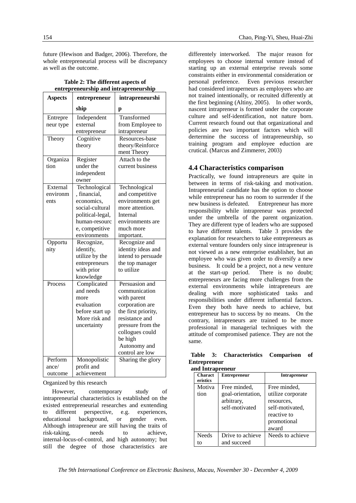future (Hewison and Badger, 2006). Therefore, the whole entrepreneurial process will be discrepancy as well as the outcome.

|  |  | Table 2: The different aspects of     |
|--|--|---------------------------------------|
|  |  | entrepreneurship and intrapreneurship |
|  |  |                                       |

| <b>Aspects</b> | entrepreneur                | intrapreneurshi               |
|----------------|-----------------------------|-------------------------------|
|                | ship                        | р                             |
| Entrepre       | Independent                 | Transformed                   |
| neur type      | external                    | from Employee to              |
|                | entrepreneur                | intrapreneur                  |
| Theory         | Cognitive                   | Resources-base                |
|                | theory                      | theory/Reinforce              |
|                |                             | ment Theory                   |
| Organiza       | Register                    | Attach to the                 |
| tion           | under the                   | current business              |
|                | independent                 |                               |
|                | owner                       |                               |
| External       | Technological               | Technological                 |
| environm       | , financial,                | and competitive               |
| ents           | economics,                  | environments get              |
|                | social-cultural             | more attention.               |
|                | political-legal,            | Internal                      |
|                | human-resourc               | environments are              |
|                | e, competitive              | much more                     |
|                | environments                | important.                    |
| Opportu        | Recognize,                  | Recognize and                 |
| nity           | identify,                   | identity ideas and            |
|                | utilize by the              | intend to persuade            |
|                | entrepreneurs<br>with prior | the top manager<br>to utilize |
|                | knowledge                   |                               |
| Process        | Complicated                 | Persuasion and                |
|                | and needs                   | communication                 |
|                | more                        | with parent                   |
|                | evaluation                  | corporation are               |
|                | before start up             | the first priority,           |
|                | More risk and               | resistance and                |
|                | uncertainty                 | pressure from the             |
|                |                             | collogues could               |
|                |                             | be high                       |
|                |                             | Autonomy and                  |
|                |                             | control are low               |
| Perform        | Monopolistic                | Sharing the glory             |
| ance/          | profit and                  |                               |
| outcome        | achievement                 |                               |

Organized by this research

However, contemporary study of intrapreneurial characteristics is established on the existed entrepreneurial researches and exntending to different perspective, e.g. experiences, educational background, or gender even. Although intrapreneur are still having the traits of risk-taking, needs to achieve, internal-locus-of-control, and high autonomy; but still the degree of those characteristics are

differentely interworked. The major reason for employees to choose internal venture instead of starting up an external enterprise reveals some constraints either in environmental consideration or personal preference. Even previous researcher had considered intraperneurs as employees who are not trained intentionally, or recruited differently at the first beginning (Altiny, 2005). In other words, nascent intrapreneur is formed under the corporate culture and self-identification, not nature born. Current research found out that organizational and policies are two important factors which will dertermine the success of intrapreneurship, so training program and employee eduction are crutical. (Marcus and Zimmerer, 2003)

#### **4.4 Characteristics comparison**

Practically, we found intrapreneurs are quite in between in terms of risk-taking and motivation. Intrapreneurial candidate has the option to choose while entrepreneur has no room to surrender if the new business is defeated. Entrepreneur has more responsibility while intrapreneur was protected under the umbrella of the parent organization. They are different type of leaders who are supposed to have different talents. Table 3 provides the explanation for researchers to take entrepreneurs as external venture founders only since intrapreneur is not viewed as a new enterprise establisher, but an employee who was given order to diversify a new business. It could be a project, not a new venture at the start-up period. There is no doubt; entrepreneurs are facing more challenges from the external environments while intrapreneurs are dealing with more sophisticated tasks and responsibilities under different influential factors. Even they both have needs to achieve, but entrepreneur has to success by no means. On the contrary, intrapreneurs are trained to be more professional in managerial techniques with the attitude of compromised patience. They are not the same.

|                     | Table 3: Characteristics Comparison of |  |
|---------------------|----------------------------------------|--|
| <b>Entrepreneur</b> |                                        |  |

| and Intrapreneur           |                                   |                                                                      |  |
|----------------------------|-----------------------------------|----------------------------------------------------------------------|--|
| <b>Charact</b><br>eristics | <b>Entrepreneur</b>               | <b>Intrapreneur</b>                                                  |  |
| Motiva<br>tion             | Free minded.<br>goal-orientation, | Free minded,<br>utilize corporate                                    |  |
|                            | arbitrary,<br>self-motivated      | resources.<br>self-motivated.<br>reactive to<br>promotional<br>award |  |
| <b>Needs</b><br>tο         | Drive to achieve<br>and succeed   | Needs to achieve                                                     |  |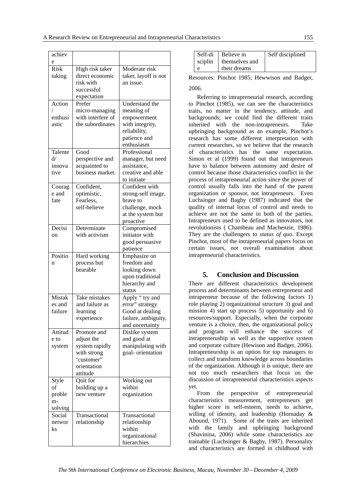| achiev      |                   |                               |
|-------------|-------------------|-------------------------------|
| e           |                   |                               |
| <b>Risk</b> | High risk taker   | Moderate risk                 |
| taking      | direct economic   | taker, layoff is not          |
|             | risk with         | an issue.                     |
|             | successful        |                               |
|             |                   |                               |
|             | expectation       |                               |
| Action      | Prefer            | Understand the                |
|             | micro-managing    | meaning of                    |
| enthusi     | with interfere of | empowerment                   |
| astic       | the subordinates  | with integrity,               |
|             |                   | reliability,                  |
|             |                   | patience and                  |
|             |                   | enthusiasm                    |
| Talente     | Good              | Professional                  |
| d/          | perspective and   | manager, but need             |
| innova      | acquainted to     | assistance,                   |
| tive        | business market.  | creative and able             |
|             |                   | to initiate                   |
| Courag      | Confident,        | Confident with                |
| e and       | optimistic,       | strong-self image,            |
| fate        | Fearless,         | brave to                      |
|             | self-believe      | challenge, mock               |
|             |                   | at the system but             |
|             |                   | proactive                     |
| Decisi      | Determinate       |                               |
|             | with activism     | Compromised<br>initiator with |
| on          |                   |                               |
|             |                   | good persuasive               |
| Positio     |                   | patience                      |
|             | Hard working      | Emphasize on                  |
| n           | process but       | freedom and                   |
|             | bearable          | looking down                  |
|             |                   | upon traditional              |
|             |                   | hierarchy and                 |
|             |                   | status                        |
| Mistak      | Take mistakes     | Apply "try and                |
| es and      | and failure as    | error" strategy               |
| failure     | learning          | Good at dealing               |
|             | experience        | failure, ambiguity,           |
|             |                   | and uncertainty               |
| Attitud     | Promote and       | Dislike system                |
| e to        | adjust the        | and good at                   |
| system      | system rapidly    | manipulating with             |
|             | with strong       | goal-orientation              |
|             | 'customer"        |                               |
|             | orientation       |                               |
|             | attitude          |                               |
| Style       | Quit for          | Working out                   |
| οf          | building up a     | within                        |
| proble      | new venture       | organization                  |
| m-          |                   |                               |
| solving     |                   |                               |
| Social      | Transactional     | Transactional                 |
| networ      | relationship      | relationship                  |
| ks          |                   | within                        |
|             |                   | organizational                |
|             |                   | hierarchies                   |
|             |                   |                               |

|         | Self-di Believe in | Self disciplined |
|---------|--------------------|------------------|
| sciplin | themselves and     |                  |
|         | their dreams       |                  |

Resources: Pinchot 1985; Hewwison and Badger, 2006.

Referring to intrapreneurial research, according to Pinchot (1985), we can see the characteristics traits, no matter in the tendency, attitude, and backgrounds; we could find the different traits inherited with the non-intrapreneurs. Take upbringing background as an example, Pinchot's research has some different interpretation with current researches, so we believe that the research of characteristics has the same expectation. Simon et al (1999) found out that intrapreneurs have to balance between autonomy and desire of control because those characteristics conflict in the process of intrapreneurial action since the power of control usually falls into the hand of the parent organization or sponsor, not intrapreneurs. Even Luchsinger and Bagby (1987) indicated that the quality of internal locus of control and needs to achieve are not the same in both of the parties. Intrapreneurs used to be defined as innovators, not revolutionists ( Chambeau and Machenzie, 1986). They are the challengers to *status of qu*o. Except Pinchot, most of the intrapreneurial papers focus on certain issues, not overall examination about intrapreneurial characteristics.

#### **5. Conclusion and Discussion**

There are different characteristics development process and determinants between entrepreneur and intrapreneur because of the following factors 1) role playing 2) organizational structure 3) goal and mission 4) start up process 5) opportunity and 6) resources/support. Especially, when the corporate venture is a choice, then, the organizational policy and program will enhance the success of intrapreneruship as well as the supportive system and corporate culture (Hewison and Badger, 2006). Intrapreneurship is an option for top managers to collect and transform knowledge across boundaries of the organization. Although it is unique, there are not too much researchers that focus on the discussion of intrapreneurial characteristics aspects yet.

From the perspective of entrepreneurial characteristics measurement, entrepreneurs get higher score in self-esteem, needs to achieve, willing of identity, and leadership (Hornaday & Abound, 1971). Some of the traits are inherited with the family and upbringing background (Shavinina, 2006) while some characteristics are trainable (Luchsinger & Bagby, 1987). Personality and characteristics are formed in childhood with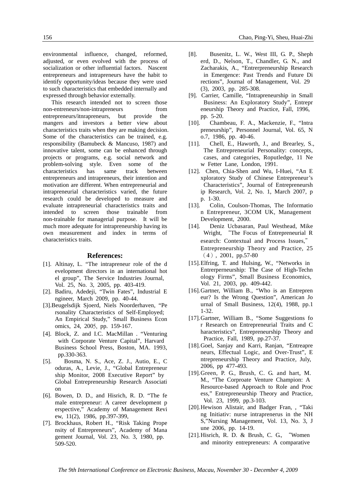environmental influence, changed, reformed, adjusted, or even evolved with the process of socialization or other influential factors. Nascent entrepreneurs and intrapreneurs have the habit to identify opportunity/ideas because they were used to such characteristics that embedded internally and expressed through behavior externally.

This research intended not to screen those non-entreneurs/non-intrapreneurs from entrepreneurs/itnrapreneurs, but provide the mangers and investors a better view about characteristics traits when they are making decision. Some of the characteristics can be trained, e.g. responsibility (Bamubeck & Mancuso, 1987) and innovative talent, some can be enhanced through projects or programs, e.g. social network and problem-solving style. Even some of the characteristics has same track between entrepreneurs and intrapreneurs, their intention and motivation are different. When entrepreneurial and intrapreneurial characteristics varied, the future research could be developed to measure and evaluate intrapreneurial characteristics traits and intended to screen those trainable from non-trainable for managerial purpose. It will be much more adequate for intrapreneurship having its own measurement and index in terms of characteristics traits.

#### **References:**

- [1]. Altinay, L. "The intrapreneur role of the d evelopment directors in an international hot el group", The Service Industries Journal, Vol. 25, No. 3, 2005, pp. 403-419.
- [2]. Badiru, Adedeji, "Twin Fates", Industrial E ngineer, March 2009, pp. 40-44.
- [3].Beugelsdijk Sjoerd, Niels Noorderhaven, "Pe rsonality Characteristics of Self-Employed; An Empirical Study," Small Business Econ omics, 24, 2005, pp. 159-167.
- [4]. Block, Z. and I.C. MacMillan . "Venturing with Corporate Venture Capital", Harvard Business School Press, Boston, MA. 1993, pp.330-363.
- [5]. Bosma, N. S., Ace, Z. J., Autio, E., C oduras, A., Levie, J., "Global Entrepreneur ship Monitor, 2008 Executive Report" by Global Entrepreneurship Research Associati on
- [6]. Bowen, D. D., and Hisrich, R. D. "The fe male entrepreneur: A career development p erspective," Academy of Management Revi ew, 11(2), 1986, pp.397-399,
- [7]. Brockhaus, Robert H., "Risk Taking Prope nsity of Entrepreneurs", Academy of Mana gement Journal, Vol. 23, No. 3, 1980, pp. 509-520.
- [8]. Busenitz, L. W., West III, G. P., Sheph erd, D., Nelson, T., Chandler, G. N., and Zacharakis, A., "Entrerpreneurship Research in Emergence: Past Trends and Future Di rections", Journal of Management, Vol. 29 (3), 2003, pp. 285-308.
- [9]. Carrier, Camille, "Intrapreneurship in Small Business: An Exploratory Study", Entrepr eneurship Theory and Practice, Fall, 1996, pp. 5-20.
- [10]. Chambeau, F. A., Mackenzie, F., "Intra preneurship", Personnel Journal, Vol. 65, N o.7, 1986, pp. 40-46.
- [11]. Chell, E., Haworth, J., and Brearley, S., The Entrepreneurial Personality: concepts, cases, and categories, Roputledge, 11 Ne w Fetter Lane, London, 1991.
- [12]. Chen, Chia-Shen and Wu, I-Huei, "An E xploratory Study of Chinese Entrepreneur's Characteristics", Journal of Entrepreneursh ip Research, Vol. 2, No. 1, March 2007, p p. 1-30.
- [13]. Colin, Coulson-Thomas, The Informatio n Entrepreneur, 3COM UK, Management Development, 2000.
- [14]. Deniz Ucbasaran, Paul Westhead, Mike Wright, "The Focus of Entrepreneurial R esearch: Contextual and Process Issues," Entrepreneurship Theory and Practice, 25 (4), 2001, pp.57-80
- [15].Elfring, T. and Hulsing, W., "Networks in Entrerperneurship: The Case of High-Techn ology Firms", Small Business Economics, Vol. 21, 2003, pp. 409-442.
- [16].Gartner, William B., "Who is an Entrepren eur? Is the Wrong Question", American Jo urnal of Small Business, 12(4), 1988, pp.1 1-32.
- [17].Gartner, William B., "Some Suggestions fo r Research on Entrepreneurial Traits and C haracteristics", Entrepreneurship Theory and Practice, Fall, 1989, pp.27-37.
- [18].Goel, Sanjay and Karri, Ranjan, "Entreapre neurs, Effectual Logic, and Over-Trust", E ntrepreneurship Theory and Practice, July, 2006, pp 477-493.
- [19].Green, P. G., Brush, C. G. and hart, M. M., "The Corproate Venture Champion: A Resource-based Approach to Role and Proc ess," Entrepreneurship Theory and Practice, Vol. 23, 1999, pp.3-103.
- [20].Hewison Alistair, and Badger Fran, , "Taki ng Initiativ: nurse intraprenerus in the NH S,"Nursing Management, Vol. 13, No. 3, J une 2006, pp. 14-19.
- [21].Hisrich, R. D. & Brush, C. G., "Women and minority entrepreneurs: A comparative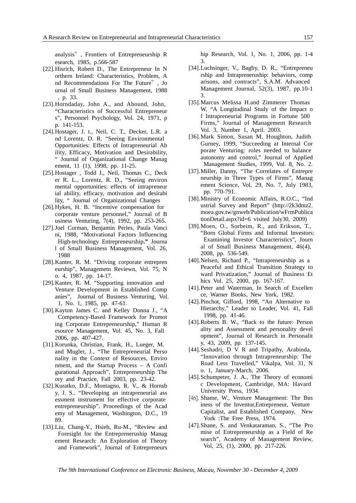analysis", Frontiers of Entrepreneurship R esearch, 1985, p.566-587

- [22].Hisrich, Robert D., The Entrepreneur In N orthern Ireland: Characteristics, Problem, A nd Recommendations For The Future", Jo urnal of Small Business Management, 1988 , p. 33.
- [23].Horndaday, John A., and Abound, John, "Characteristics of Successful Entrepreneur s", Personnel Psychology, Vol. 24, 1971, p p. 141-153.
- [24].Hostager, J. t., Neil, C. T., Decker, L.R. a nd Lorentz, D. R. "Seeing Environmental Opportunities: Effects of Intrapreneurial Ab ility, Efficacy, Motivation and Desirability, " Journal of Organizational Change Manag ement, 11 (1), 1998, pp. 11-25.
- [25].Hostager , Todd J., Neil, Thomas C., Deck er R. L., Lorentz, R. D., "Seeing environ mental opportunities: effects of intrapreneur ial ability, efficacy, motivation and desirabi lity, " Journal of Organizational Changes
- [26].Hykes, H. B. "Incentive compensation for corporate venture personnel," Journal of B usiness Venturing, 7(4), 1992, pp. 253-265.
- [27].Joel Corman, Benjamin Perles, Paula Vanci ni, 1988, "Motivational Factors Influencing High-technology Entrepreneurship**."** Journa l of Small Business Management, Vol. 26, 1988
- [28].Kanter, R. M. "Driving corporate entrepren eurship", Managemetn Reviewn, Vol. 75, N o. 4, 1987, pp. 14-17.
- [29].Kanter, R. M. "Supporting innovation and Venture Development in Established Comp anies", Journal of Business Venturing, Vol. 1, No. 1, 1985, pp. 47-61.
- [30].Kayton James C. and Kelley Donna J., "A Competency-Based Framework for Promot ing Corporate Entrepreneurship," Human R esource Management, Vol. 45, No. 3, Fall 2006, pp. 407-427.
- [31].Korunka, Christian, Frank, H., Lueger, M. and Mugler, J., "The Entrepreneurial Perso nality in the Context of Resources, Enviro nment, and the Startup Process – A Confi gurational Approach", Entrepreneurship The ory and Practice, Fall 2003, pp. 23-42.
- [32].Kuratko, D.F., Montagno, R. V., & Hornsb y, J. S.. "Developing an intrapreneurial ass essment instrument for effective corporate entrepreneurship". Proceedings of the Acad emy of Management, Washington, D.C., 19 89.
- [33].Liu, Chang-Y., Hsieh, Ru-M., "Review and Foresight for the Entrepreneruship Manag ement Research: An Exploration of Theory and Framework", Journal of Entrepreneurs

hip Research, Vol. 1, No. 1, 2006, pp. 1-4 3.

- [34].Luchsinger, V., Bagby, D. R., "Entrepreneu rship and Intrapreneruship: behaviors, comp arisons, and contracts", S.A.M. Advanced Management Journal, 52(3), 1987, pp.10-1 3.
- [35].Marcus Melissa H.and Zimmerer Thomas W, "A Longitudinal Study of the Impact o f Intrapreneurial Programs in Fortune 500 Firms," Journal of Management Research Vol. 3, Number 1, April. 2003.
- [36].Mark Simon, Susan M. Houghton, Judith Gurney, 1999, "Succeeding at Internal Cor porate Venturing: roles needed to balance autonomy and control," Journal of Applied Management Studies, 1999, Vol. 8, No. 2.
- [37].Miller, Danny, "The Correlates of Entrepre neurship in Three Types of Firms", Manag ement Science, Vol. 29, No. 7, July 1983, pp. 770-791.
- [38].Ministry of Economic Affairs, R.O.C., "Ind ustrial Survey and Report" (http://2k3dmz2. moea.gov.tw/gnweb/Publication/wFrmPublica tionDetail.aspx?id=6 visited July30, 2009)
- [39].Moen, O., Sorbeim, R., and Erikson, T., "Born Global Firms and Informal Investors: Examining Investor Characteristics", Journ al of Small Business Management, 46(4), 2008, pp. 536-549.
- [40].Nelsen, Richard P., "Intrapreneurship as a Peaceful and Ethical Transition Strategy to ward Privatization," Journal of Business Et hics Vol. 25, 2000, pp. 167-167.
- [41].Peter and Waterman, In Search of Excellen ce, Warner Books, New York, 1982.
- [42].Pinchot, Gifford, 1998, "An Alternative to Hierarchy," Leader to Leader, Vol. 41, Fall 1998, pp. 41-46.
- [43].Roberts B. W., "Back to the future: Person ality and Assessment and personality devel opment", Journal of Research in Personalit y, 43, 2009, pp. 137-145.
- [44].Seshadri, D V R and Tripathy, Arabinda, "Innovation through Intrapreneurship: The Road Less Travelled," Vikalpa, Vol. 31, N o. 1, January-March, 2006.
- [45].Schumpeter, J. A., The Theory of economi c Development, Cambridge, MA: Havard University Press, 1934.
- [46]. Shame, W., Venture Management: The Bus iness of the Inventor,Entrepreneur, Venture Capitalist, and Established Company, New York :The Free Press, 1974.
- [47].Shane, S. and Venkataraman, S., "The Pro mise of Entrepreneurship as a Field of Re search", Academy of Management Review, Vol, 25, (1), 2000, pp. 217-226.